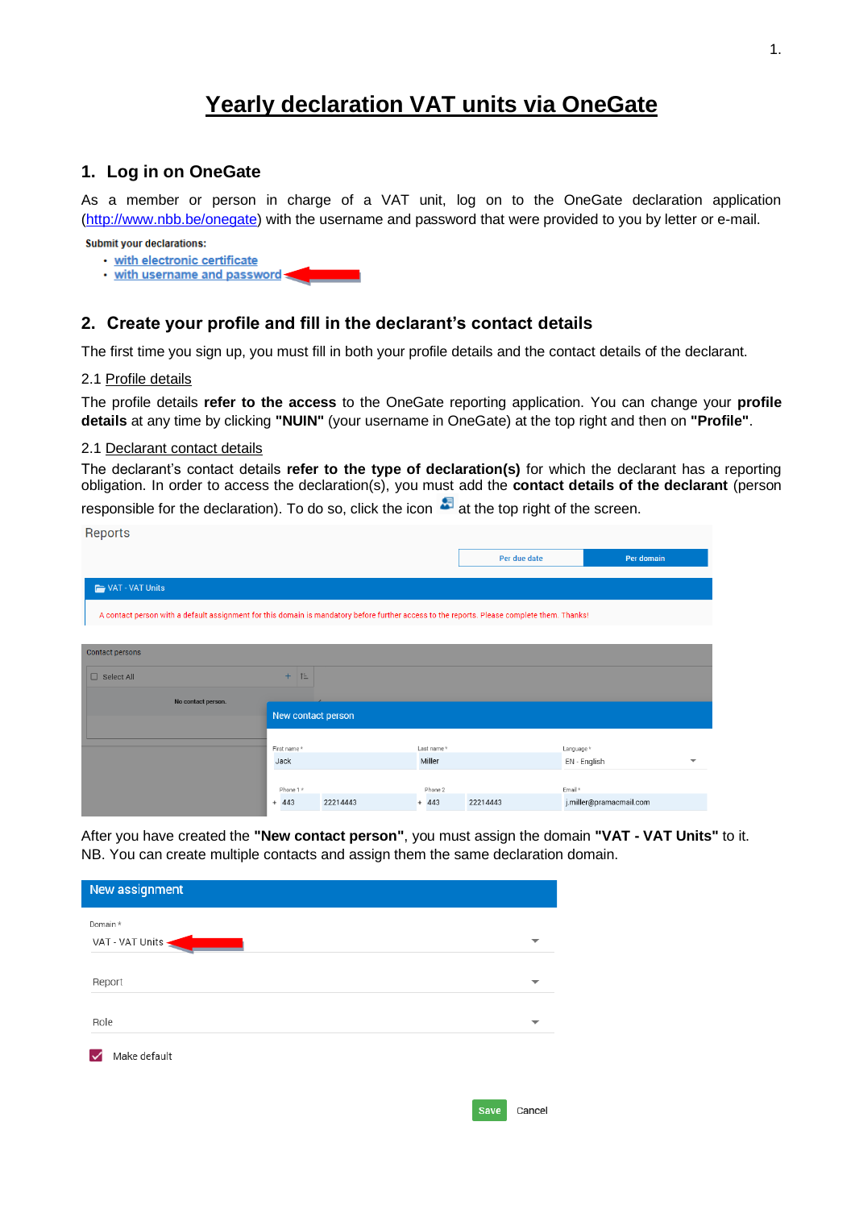# **Yearly declaration VAT units via OneGate**

# **1. Log in on OneGate**

As a member or person in charge of a VAT unit, log on to the OneGate declaration application [\(http://www.nbb.be/onegate\)](http://www.nbb.be/onegate) with the username and password that were provided to you by letter or e-mail.

**Submit your declarations:** 

- · with electronic certificate
- . with username and password

# **2. Create your profile and fill in the declarant's contact details**

The first time you sign up, you must fill in both your profile details and the contact details of the declarant.

# 2.1 Profile details

**Donorto** 

The profile details **refer to the access** to the OneGate reporting application. You can change your **profile details** at any time by clicking **"NUIN"** (your username in OneGate) at the top right and then on **"Profile"**.

### 2.1 Declarant contact details

The declarant's contact details **refer to the type of declaration(s)** for which the declarant has a reporting obligation. In order to access the declaration(s), you must add the **contact details of the declarant** (person

responsible for the declaration). To do so, click the icon  $\bullet$  at the top right of the screen.

| <b>TICPOLIS</b>                                                                                                                             |                    |          |            |              |                         |   |
|---------------------------------------------------------------------------------------------------------------------------------------------|--------------------|----------|------------|--------------|-------------------------|---|
|                                                                                                                                             |                    |          |            | Per due date | Per domain              |   |
| VAT - VAT Units                                                                                                                             |                    |          |            |              |                         |   |
| A contact person with a default assignment for this domain is mandatory before further access to the reports. Please complete them. Thanks! |                    |          |            |              |                         |   |
|                                                                                                                                             |                    |          |            |              |                         |   |
| Contact persons                                                                                                                             |                    |          |            |              |                         |   |
| $\Box$ Select All                                                                                                                           | TE.<br>$+$         |          |            |              |                         |   |
| No contact person.                                                                                                                          |                    |          |            |              |                         |   |
|                                                                                                                                             | New contact person |          |            |              |                         |   |
|                                                                                                                                             | First name*        |          | Last name* |              | Language*               |   |
|                                                                                                                                             | Jack               |          | Miller     |              | EN - English            | ⇁ |
|                                                                                                                                             |                    |          |            |              |                         |   |
|                                                                                                                                             | Phone 1 *          |          | Phone 2    |              | Email *                 |   |
|                                                                                                                                             | $+ 443$            | 22214443 | $+ 443$    | 22214443     | j.miller@pramacmail.com |   |

After you have created the **"New contact person"**, you must assign the domain **"VAT - VAT Units"** to it. NB. You can create multiple contacts and assign them the same declaration domain.

| New assignment  |  |
|-----------------|--|
| Domain *        |  |
| VAT - VAT Units |  |
| Report          |  |
| Role            |  |
| Make default    |  |
|                 |  |

1.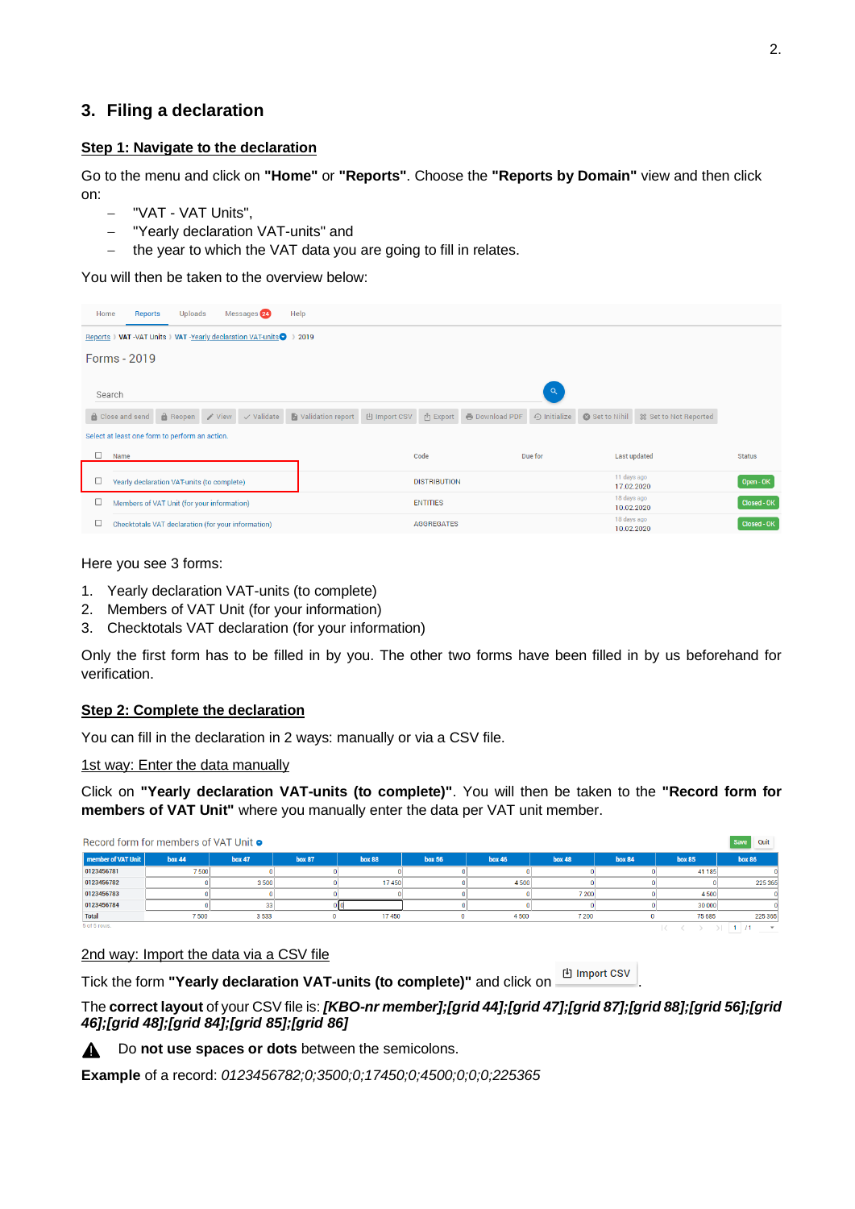# **3. Filing a declaration**

# **Step 1: Navigate to the declaration**

Go to the menu and click on **"Home"** or **"Reports"**. Choose the **"Reports by Domain"** view and then click on:

- − "VAT VAT Units",
- − "Yearly declaration VAT-units" and
- the year to which the VAT data you are going to fill in relates.

You will then be taken to the overview below:

| Home    | <b>Reports</b>                                     | Uploads |  | Messages 24                                                 | Help              |                                         |                         |                       |                    |                           |                           |  |
|---------|----------------------------------------------------|---------|--|-------------------------------------------------------------|-------------------|-----------------------------------------|-------------------------|-----------------------|--------------------|---------------------------|---------------------------|--|
| Reports |                                                    |         |  | VAT -VAT Units ) VAT -Yearly declaration VAT-units 2 > 2019 |                   |                                         |                         |                       |                    |                           |                           |  |
|         | Forms - 2019                                       |         |  |                                                             |                   |                                         |                         |                       |                    |                           |                           |  |
| Search  |                                                    |         |  |                                                             |                   |                                         |                         |                       | $\mathsf Q$        |                           |                           |  |
|         | Close and send                                     |         |  | $\theta$ Reopen / View / Validate                           | Validation report | <sup>[4]</sup> Import CSV               | r <sup>î</sup> า Export | <b>B</b> Download PDF | $\odot$ Initialize | Set to Nihil              | ☆ Set to Not Reported     |  |
|         | Select at least one form to perform an action.     |         |  |                                                             |                   |                                         |                         |                       |                    |                           |                           |  |
|         | Name                                               |         |  |                                                             |                   | Due for<br>Code                         |                         | <b>Last updated</b>   |                    | <b>Status</b>             |                           |  |
|         | Yearly declaration VAT-units (to complete)         |         |  |                                                             |                   |                                         | <b>DISTRIBUTION</b>     |                       |                    |                           | 11 days ago<br>17.02.2020 |  |
| □       | Members of VAT Unit (for your information)         |         |  |                                                             |                   | <b>ENTITIES</b>                         |                         |                       |                    | 18 days ago<br>10.02.2020 | <b>Closed - OK</b>        |  |
| □       | Checktotals VAT declaration (for your information) |         |  |                                                             |                   | 18 days ago<br>AGGREGATES<br>10.02.2020 |                         |                       |                    | Closed - OK               |                           |  |

## Here you see 3 forms:

- 1. Yearly declaration VAT-units (to complete)
- 2. Members of VAT Unit (for your information)
- 3. Checktotals VAT declaration (for your information)

Only the first form has to be filled in by you. The other two forms have been filled in by us beforehand for verification.

# **Step 2: Complete the declaration**

You can fill in the declaration in 2 ways: manually or via a CSV file.

1st way: Enter the data manually

Click on **"Yearly declaration VAT-units (to complete)"**. You will then be taken to the **"Record form for members of VAT Unit"** where you manually enter the data per VAT unit member.

| Record form for members of VAT Unit <b>o</b><br><b>Save</b> |               |               |               |               |               |               |               |               | Quit          |                          |
|-------------------------------------------------------------|---------------|---------------|---------------|---------------|---------------|---------------|---------------|---------------|---------------|--------------------------|
| <b>member of VAT Unit</b>                                   | <b>box 44</b> | <b>box 47</b> | <b>box 87</b> | <b>box 88</b> | <b>box 56</b> | <b>box 46</b> | <b>box 48</b> | <b>box 84</b> | <b>box 85</b> | <b>box 86</b>            |
| 0123456781                                                  | 7 500         |               |               |               |               |               |               |               | 41 185        |                          |
| 0123456782                                                  |               | 3500          |               | 17450         |               | 4 500         |               |               |               | 225 365                  |
| 0123456783                                                  |               |               |               |               |               |               | 7 200         |               | 4500          |                          |
| 0123456784                                                  |               | 33            |               |               |               |               |               |               | 30 000        |                          |
| <b>Total</b>                                                | 7500          | 3533          |               | 17450         | n             | 4500          | 7 200         |               | 75 685        | 225 365                  |
| 5 of 5 rows.                                                |               |               |               |               |               |               |               |               |               | $\overline{\phantom{a}}$ |

### 2nd way: Import the data via a CSV file

Tick the form **"Yearly declaration VAT-units (to complete)"** and click on  $\frac{E}{2}$  Import CSV

The **correct layout** of your CSV file is: *[KBO-nr member];[grid 44];[grid 47];[grid 87];[grid 88];[grid 56];[grid 46];[grid 48];[grid 84];[grid 85];[grid 86]*



Do **not use spaces or dots** between the semicolons.

**Example** of a record: *0123456782;0;3500;0;17450;0;4500;0;0;0;225365*